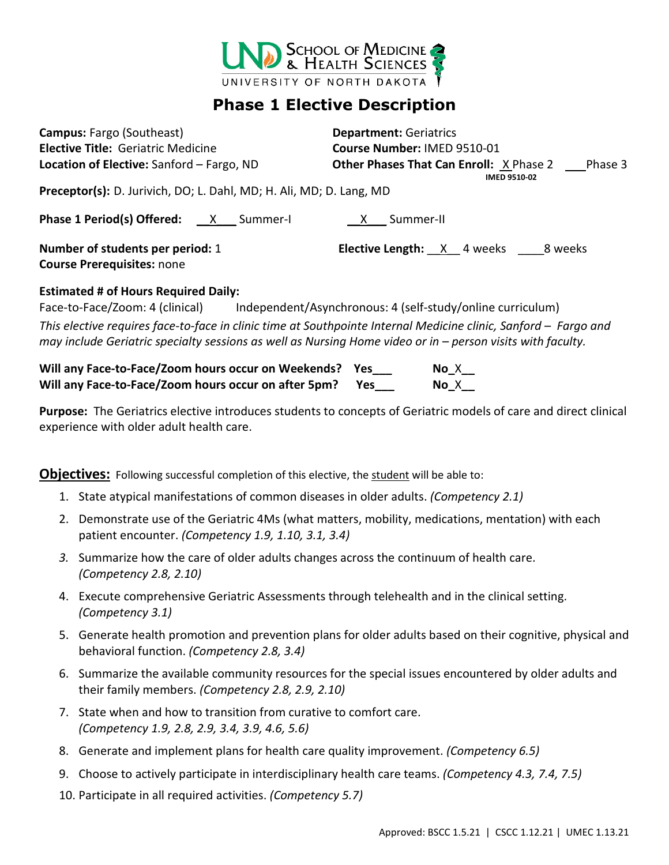

## **Phase 1 Elective Description**

| <b>Campus: Fargo (Southeast)</b>                                    | <b>Department: Geriatrics</b>                                                 |
|---------------------------------------------------------------------|-------------------------------------------------------------------------------|
| <b>Elective Title: Geriatric Medicine</b>                           | Course Number: IMED 9510-01                                                   |
| Location of Elective: Sanford - Fargo, ND                           | <b>Other Phases That Can Enroll: X Phase 2</b> Phase 3<br><b>IMED 9510-02</b> |
| Preceptor(s): D. Jurivich, DO; L. Dahl, MD; H. Ali, MD; D. Lang, MD |                                                                               |
| <b>Phase 1 Period(s) Offered:</b> X Summer-I                        | X Summer-II                                                                   |
| Number of students per period: 1                                    | <b>Elective Length:</b> $X$ 4 weeks $\_\_\_\$ 8 weeks                         |
| <b>Course Prerequisites: none</b>                                   |                                                                               |
| <b>Estimated # of Hours Required Daily:</b>                         |                                                                               |
| Face-to-Face/Zoom: 4 (clinical)                                     | Independent/Asynchronous: 4 (self-study/online curriculum)                    |

*This elective requires face-to-face in clinic time at Southpointe Internal Medicine clinic, Sanford – Fargo and may include Geriatric specialty sessions as well as Nursing Home video or in – person visits with faculty.* 

**Will any Face-to-Face/Zoom hours occur on Weekends? Yes\_\_\_ No\_**X**\_\_ Will any Face-to-Face/Zoom hours occur on after 5pm? Yes\_\_\_ No\_**X**\_\_**

**Purpose:** The Geriatrics elective introduces students to concepts of Geriatric models of care and direct clinical experience with older adult health care.

**Objectives:** Following successful completion of this elective, the student will be able to:

- 1. State atypical manifestations of common diseases in older adults. *(Competency 2.1)*
- 2. Demonstrate use of the Geriatric 4Ms (what matters, mobility, medications, mentation) with each patient encounter. *(Competency 1.9, 1.10, 3.1, 3.4)*
- *3.* Summarize how the care of older adults changes across the continuum of health care. *(Competency 2.8, 2.10)*
- 4. Execute comprehensive Geriatric Assessments through telehealth and in the clinical setting. *(Competency 3.1)*
- 5. Generate health promotion and prevention plans for older adults based on their cognitive, physical and behavioral function. *(Competency 2.8, 3.4)*
- 6. Summarize the available community resources for the special issues encountered by older adults and their family members. *(Competency 2.8, 2.9, 2.10)*
- 7. State when and how to transition from curative to comfort care. *(Competency 1.9, 2.8, 2.9, 3.4, 3.9, 4.6, 5.6)*
- 8. Generate and implement plans for health care quality improvement. *(Competency 6.5)*
- 9. Choose to actively participate in interdisciplinary health care teams. *(Competency 4.3, 7.4, 7.5)*
- 10. Participate in all required activities. *(Competency 5.7)*